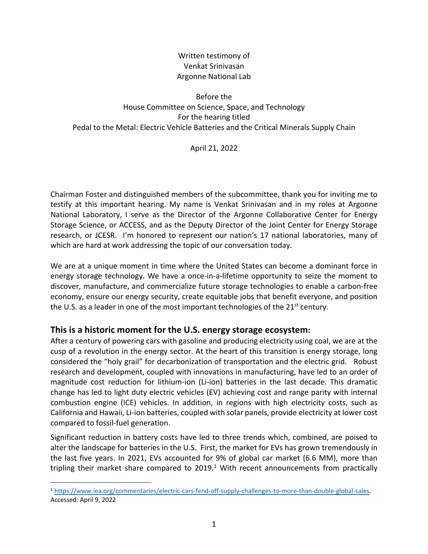#### Written testimony of Venkat Srinivasan Argonne National Lab

#### Before the House Committee on Science, Space, and Technology For the hearing titled Pedal to the Metal: Electric Vehicle Batteries and the Critical Minerals Supply Chain

April 21, 2022

Chairman Foster and distinguished members of the subcommittee, thank you for inviting me to testify at this important hearing. My name is Venkat Srinivasan and in my roles at Argonne National Laboratory, I serve as the Director of the Argonne Collaborative Center for Energy Storage Science, or ACCESS, and as the Deputy Director of the Joint Center for Energy Storage research, or JCESR. I'm honored to represent our nation's 17 national laboratories, many of which are hard at work addressing the topic of our conversation today.

We are at a unique moment in time where the United States can become a dominant force in energy storage technology. We have a once-in-a-lifetime opportunity to seize the moment to discover, manufacture, and commercialize future storage technologies to enable a carbon-free economy, ensure our energy security, create equitable jobs that benefit everyone, and position the U.S. as a leader in one of the most important technologies of the  $21<sup>st</sup>$  century.

# **This is a historic moment for the U.S. energy storage ecosystem:**

After a century of powering cars with gasoline and producing electricity using coal, we are at the cusp of a revolution in the energy sector. At the heart of this transition is energy storage, long considered the "holy grail" for decarbonization of transportation and the electric grid. Robust research and development, coupled with innovations in manufacturing, have led to an order of magnitude cost reduction for lithium-ion (Li-ion) batteries in the last decade. This dramatic change has led to light duty electric vehicles (EV) achieving cost and range parity with internal combustion engine (ICE) vehicles. In addition, in regions with high electricity costs, such as California and Hawaii, Li-ion batteries, coupled with solar panels, provide electricity at lower cost compared to fossil-fuel generation.

Significant reduction in battery costs have led to three trends which, combined, are poised to alter the landscape for batteries in the U.S. First, the market for EVs has grown tremendously in the last five years. In 2021, EVs accounted for 9% of global car market (6.6 MM), more than tripling their market share compared to  $2019<sup>1</sup>$  With recent announcements from practically

<sup>1</sup> https://www.iea.org/commentaries/electric-cars-fend-off-supply-challenges-to-more-than-double-global-sales. Accessed: April 9, 2022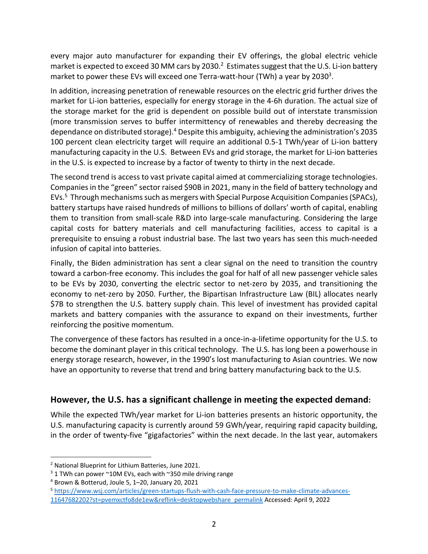every major auto manufacturer for expanding their EV offerings, the global electric vehicle market is expected to exceed 30 MM cars by 2030.<sup>2</sup> Estimates suggest that the U.S. Li-ion battery market to power these EVs will exceed one Terra-watt-hour (TWh) a year by 2030<sup>3</sup>.

In addition, increasing penetration of renewable resources on the electric grid further drives the market for Li-ion batteries, especially for energy storage in the 4-6h duration. The actual size of the storage market for the grid is dependent on possible build out of interstate transmission (more transmission serves to buffer intermittency of renewables and thereby decreasing the dependance on distributed storage).<sup>4</sup> Despite this ambiguity, achieving the administration's 2035 100 percent clean electricity target will require an additional 0.5-1 TWh/year of Li-ion battery manufacturing capacity in the U.S. Between EVs and grid storage, the market for Li-ion batteries in the U.S. is expected to increase by a factor of twenty to thirty in the next decade.

The second trend is access to vast private capital aimed at commercializing storage technologies. Companies in the "green" sector raised \$90B in 2021, many in the field of battery technology and EVs.<sup>5</sup> Through mechanisms such as mergers with Special Purpose Acquisition Companies (SPACs), battery startups have raised hundreds of millions to billions of dollars' worth of capital, enabling them to transition from small-scale R&D into large-scale manufacturing. Considering the large capital costs for battery materials and cell manufacturing facilities, access to capital is a prerequisite to ensuing a robust industrial base. The last two years has seen this much-needed infusion of capital into batteries.

Finally, the Biden administration has sent a clear signal on the need to transition the country toward a carbon-free economy. This includes the goal for half of all new passenger vehicle sales to be EVs by 2030, converting the electric sector to net-zero by 2035, and transitioning the economy to net-zero by 2050. Further, the Bipartisan Infrastructure Law (BIL) allocates nearly \$7B to strengthen the U.S. battery supply chain. This level of investment has provided capital markets and battery companies with the assurance to expand on their investments, further reinforcing the positive momentum.

The convergence of these factors has resulted in a once-in-a-lifetime opportunity for the U.S. to become the dominant player in this critical technology. The U.S. has long been a powerhouse in energy storage research, however, in the 1990's lost manufacturing to Asian countries. We now have an opportunity to reverse that trend and bring battery manufacturing back to the U.S.

# **However, the U.S. has a significant challenge in meeting the expected demand:**

While the expected TWh/year market for Li-ion batteries presents an historic opportunity, the U.S. manufacturing capacity is currently around 59 GWh/year, requiring rapid capacity building, in the order of twenty-five "gigafactories" within the next decade. In the last year, automakers

<sup>&</sup>lt;sup>2</sup> National Blueprint for Lithium Batteries, June 2021.<br><sup>3</sup> 1 TWh can power ~10M EVs, each with ~350 mile driving range

<sup>4</sup> Brown & Botterud, Joule 5, 1–20, January 20, 2021

<sup>5</sup> https://www.wsj.com/articles/green-startups-flush-with-cash-face-pressure-to-make-climate-advances-

<sup>11647682202?</sup>st=pvemxctfo8de1ew&reflink=desktopwebshare\_permalink Accessed: April 9, 2022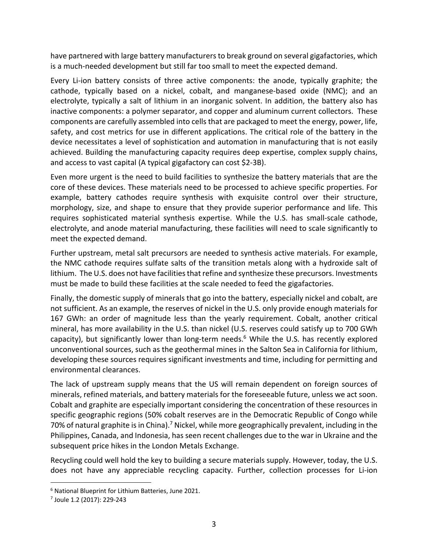have partnered with large battery manufacturers to break ground on several gigafactories, which is a much-needed development but still far too small to meet the expected demand.

Every Li-ion battery consists of three active components: the anode, typically graphite; the cathode, typically based on a nickel, cobalt, and manganese-based oxide (NMC); and an electrolyte, typically a salt of lithium in an inorganic solvent. In addition, the battery also has inactive components: a polymer separator, and copper and aluminum current collectors. These components are carefully assembled into cells that are packaged to meet the energy, power, life, safety, and cost metrics for use in different applications. The critical role of the battery in the device necessitates a level of sophistication and automation in manufacturing that is not easily achieved. Building the manufacturing capacity requires deep expertise, complex supply chains, and access to vast capital (A typical gigafactory can cost \$2-3B).

Even more urgent is the need to build facilities to synthesize the battery materials that are the core of these devices. These materials need to be processed to achieve specific properties. For example, battery cathodes require synthesis with exquisite control over their structure, morphology, size, and shape to ensure that they provide superior performance and life. This requires sophisticated material synthesis expertise. While the U.S. has small-scale cathode, electrolyte, and anode material manufacturing, these facilities will need to scale significantly to meet the expected demand.

Further upstream, metal salt precursors are needed to synthesis active materials. For example, the NMC cathode requires sulfate salts of the transition metals along with a hydroxide salt of lithium. The U.S. does not have facilities that refine and synthesize these precursors. Investments must be made to build these facilities at the scale needed to feed the gigafactories.

Finally, the domestic supply of minerals that go into the battery, especially nickel and cobalt, are not sufficient. As an example, the reserves of nickel in the U.S. only provide enough materials for 167 GWh: an order of magnitude less than the yearly requirement. Cobalt, another critical mineral, has more availability in the U.S. than nickel (U.S. reserves could satisfy up to 700 GWh capacity), but significantly lower than long-term needs. <sup>6</sup> While the U.S. has recently explored unconventional sources, such as the geothermal mines in the Salton Sea in California for lithium, developing these sources requires significant investments and time, including for permitting and environmental clearances.

The lack of upstream supply means that the US will remain dependent on foreign sources of minerals, refined materials, and battery materials for the foreseeable future, unless we act soon. Cobalt and graphite are especially important considering the concentration of these resources in specific geographic regions (50% cobalt reserves are in the Democratic Republic of Congo while 70% of natural graphite is in China).<sup>7</sup> Nickel, while more geographically prevalent, including in the Philippines, Canada, and Indonesia, has seen recent challenges due to the war in Ukraine and the subsequent price hikes in the London Metals Exchange.

Recycling could well hold the key to building a secure materials supply. However, today, the U.S. does not have any appreciable recycling capacity. Further, collection processes for Li-ion

<sup>6</sup> National Blueprint for Lithium Batteries, June 2021.

<sup>7</sup> Joule 1.2 (2017): 229-243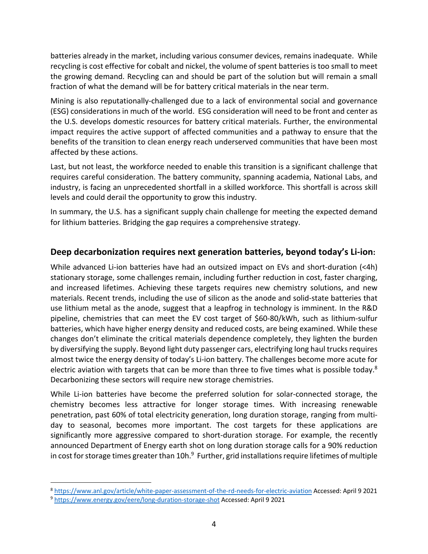batteries already in the market, including various consumer devices, remains inadequate. While recycling is cost effective for cobalt and nickel, the volume of spent batteries is too small to meet the growing demand. Recycling can and should be part of the solution but will remain a small fraction of what the demand will be for battery critical materials in the near term.

Mining is also reputationally-challenged due to a lack of environmental social and governance (ESG) considerations in much of the world. ESG consideration will need to be front and center as the U.S. develops domestic resources for battery critical materials. Further, the environmental impact requires the active support of affected communities and a pathway to ensure that the benefits of the transition to clean energy reach underserved communities that have been most affected by these actions.

Last, but not least, the workforce needed to enable this transition is a significant challenge that requires careful consideration. The battery community, spanning academia, National Labs, and industry, is facing an unprecedented shortfall in a skilled workforce. This shortfall is across skill levels and could derail the opportunity to grow this industry.

In summary, the U.S. has a significant supply chain challenge for meeting the expected demand for lithium batteries. Bridging the gap requires a comprehensive strategy.

## **Deep decarbonization requires next generation batteries, beyond today's Li-ion:**

While advanced Li-ion batteries have had an outsized impact on EVs and short-duration (<4h) stationary storage, some challenges remain, including further reduction in cost, faster charging, and increased lifetimes. Achieving these targets requires new chemistry solutions, and new materials. Recent trends, including the use of silicon as the anode and solid-state batteries that use lithium metal as the anode, suggest that a leapfrog in technology is imminent. In the R&D pipeline, chemistries that can meet the EV cost target of \$60-80/kWh, such as lithium-sulfur batteries, which have higher energy density and reduced costs, are being examined. While these changes don't eliminate the critical materials dependence completely, they lighten the burden by diversifying the supply. Beyond light duty passenger cars, electrifying long haul trucks requires almost twice the energy density of today's Li-ion battery. The challenges become more acute for electric aviation with targets that can be more than three to five times what is possible today.<sup>8</sup> Decarbonizing these sectors will require new storage chemistries.

While Li-ion batteries have become the preferred solution for solar-connected storage, the chemistry becomes less attractive for longer storage times. With increasing renewable penetration, past 60% of total electricity generation, long duration storage, ranging from multiday to seasonal, becomes more important. The cost targets for these applications are significantly more aggressive compared to short-duration storage. For example, the recently announced Department of Energy earth shot on long duration storage calls for a 90% reduction in cost for storage times greater than 10h. $9$  Further, grid installations require lifetimes of multiple

<sup>8</sup> https://www.anl.gov/article/white-paper-assessment-of-the-rd-needs-for-electric-aviation Accessed: April 9 2021

<sup>9</sup> https://www.energy.gov/eere/long-duration-storage-shot Accessed: April 9 2021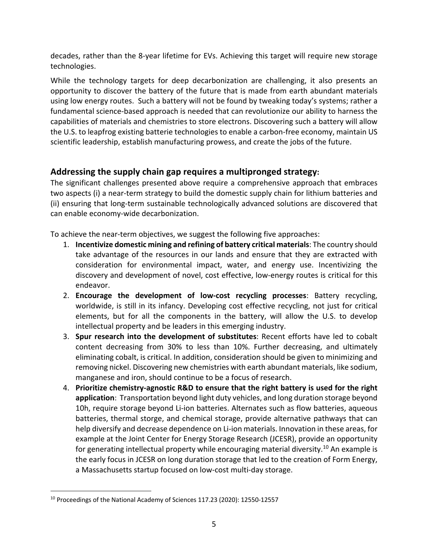decades, rather than the 8-year lifetime for EVs. Achieving this target will require new storage technologies.

While the technology targets for deep decarbonization are challenging, it also presents an opportunity to discover the battery of the future that is made from earth abundant materials using low energy routes. Such a battery will not be found by tweaking today's systems; rather a fundamental science-based approach is needed that can revolutionize our ability to harness the capabilities of materials and chemistries to store electrons. Discovering such a battery will allow the U.S. to leapfrog existing batterie technologies to enable a carbon-free economy, maintain US scientific leadership, establish manufacturing prowess, and create the jobs of the future.

## **Addressing the supply chain gap requires a multipronged strategy:**

The significant challenges presented above require a comprehensive approach that embraces two aspects (i) a near-term strategy to build the domestic supply chain for lithium batteries and (ii) ensuring that long-term sustainable technologically advanced solutions are discovered that can enable economy-wide decarbonization.

To achieve the near-term objectives, we suggest the following five approaches:

- 1. **Incentivize domestic mining and refining of battery critical materials**: The country should take advantage of the resources in our lands and ensure that they are extracted with consideration for environmental impact, water, and energy use. Incentivizing the discovery and development of novel, cost effective, low-energy routes is critical for this endeavor.
- 2. **Encourage the development of low-cost recycling processes**: Battery recycling, worldwide, is still in its infancy. Developing cost effective recycling, not just for critical elements, but for all the components in the battery, will allow the U.S. to develop intellectual property and be leaders in this emerging industry.
- 3. **Spur research into the development of substitutes**: Recent efforts have led to cobalt content decreasing from 30% to less than 10%. Further decreasing, and ultimately eliminating cobalt, is critical. In addition, consideration should be given to minimizing and removing nickel. Discovering new chemistries with earth abundant materials, like sodium, manganese and iron, should continue to be a focus of research.
- 4. **Prioritize chemistry-agnostic R&D to ensure that the right battery is used for the right application**: Transportation beyond light duty vehicles, and long duration storage beyond 10h, require storage beyond Li-ion batteries. Alternates such as flow batteries, aqueous batteries, thermal storge, and chemical storage, provide alternative pathways that can help diversify and decrease dependence on Li-ion materials. Innovation in these areas, for example at the Joint Center for Energy Storage Research (JCESR), provide an opportunity for generating intellectual property while encouraging material diversity.<sup>10</sup> An example is the early focus in JCESR on long duration storage that led to the creation of Form Energy, a Massachusetts startup focused on low-cost multi-day storage.

<sup>&</sup>lt;sup>10</sup> Proceedings of the National Academy of Sciences 117.23 (2020): 12550-12557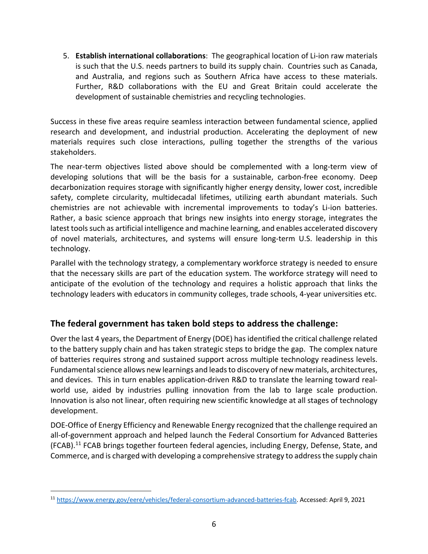5. **Establish international collaborations**: The geographical location of Li-ion raw materials is such that the U.S. needs partners to build its supply chain. Countries such as Canada, and Australia, and regions such as Southern Africa have access to these materials. Further, R&D collaborations with the EU and Great Britain could accelerate the development of sustainable chemistries and recycling technologies.

Success in these five areas require seamless interaction between fundamental science, applied research and development, and industrial production. Accelerating the deployment of new materials requires such close interactions, pulling together the strengths of the various stakeholders.

The near-term objectives listed above should be complemented with a long-term view of developing solutions that will be the basis for a sustainable, carbon-free economy. Deep decarbonization requires storage with significantly higher energy density, lower cost, incredible safety, complete circularity, multidecadal lifetimes, utilizing earth abundant materials. Such chemistries are not achievable with incremental improvements to today's Li-ion batteries. Rather, a basic science approach that brings new insights into energy storage, integrates the latest tools such as artificial intelligence and machine learning, and enables accelerated discovery of novel materials, architectures, and systems will ensure long-term U.S. leadership in this technology.

Parallel with the technology strategy, a complementary workforce strategy is needed to ensure that the necessary skills are part of the education system. The workforce strategy will need to anticipate of the evolution of the technology and requires a holistic approach that links the technology leaders with educators in community colleges, trade schools, 4-year universities etc.

# **The federal government has taken bold steps to address the challenge:**

Over the last 4 years, the Department of Energy (DOE) has identified the critical challenge related to the battery supply chain and has taken strategic steps to bridge the gap. The complex nature of batteries requires strong and sustained support across multiple technology readiness levels. Fundamental science allows new learnings and leads to discovery of new materials, architectures, and devices. This in turn enables application-driven R&D to translate the learning toward realworld use, aided by industries pulling innovation from the lab to large scale production. Innovation is also not linear, often requiring new scientific knowledge at all stages of technology development.

DOE-Office of Energy Efficiency and Renewable Energy recognized that the challenge required an all-of-government approach and helped launch the Federal Consortium for Advanced Batteries (FCAB).11 FCAB brings together fourteen federal agencies, including Energy, Defense, State, and Commerce, and is charged with developing a comprehensive strategy to address the supply chain

<sup>11</sup> https://www.energy.gov/eere/vehicles/federal-consortium-advanced-batteries-fcab. Accessed: April 9, 2021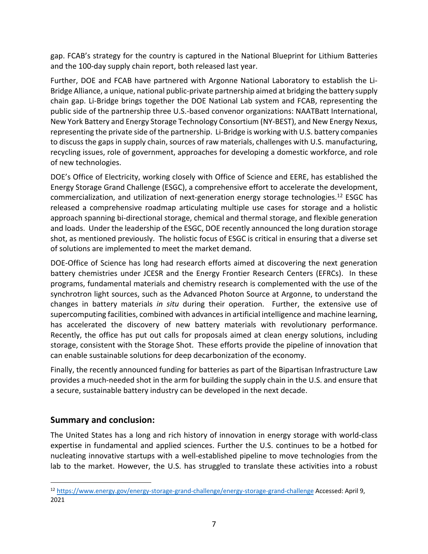gap. FCAB's strategy for the country is captured in the National Blueprint for Lithium Batteries and the 100-day supply chain report, both released last year.

Further, DOE and FCAB have partnered with Argonne National Laboratory to establish the Li-Bridge Alliance, a unique, national public-private partnership aimed at bridging the battery supply chain gap. Li-Bridge brings together the DOE National Lab system and FCAB, representing the public side of the partnership three U.S.-based convenor organizations: NAATBatt International, New York Battery and Energy Storage Technology Consortium (NY-BEST), and New Energy Nexus, representing the private side of the partnership. Li-Bridge is working with U.S. battery companies to discuss the gaps in supply chain, sources of raw materials, challenges with U.S. manufacturing, recycling issues, role of government, approaches for developing a domestic workforce, and role of new technologies.

DOE's Office of Electricity, working closely with Office of Science and EERE, has established the Energy Storage Grand Challenge (ESGC), a comprehensive effort to accelerate the development, commercialization, and utilization of next-generation energy storage technologies.<sup>12</sup> ESGC has released a comprehensive roadmap articulating multiple use cases for storage and a holistic approach spanning bi-directional storage, chemical and thermal storage, and flexible generation and loads. Under the leadership of the ESGC, DOE recently announced the long duration storage shot, as mentioned previously. The holistic focus of ESGC is critical in ensuring that a diverse set of solutions are implemented to meet the market demand.

DOE-Office of Science has long had research efforts aimed at discovering the next generation battery chemistries under JCESR and the Energy Frontier Research Centers (EFRCs). In these programs, fundamental materials and chemistry research is complemented with the use of the synchrotron light sources, such as the Advanced Photon Source at Argonne, to understand the changes in battery materials *in situ* during their operation. Further, the extensive use of supercomputing facilities, combined with advances in artificial intelligence and machine learning, has accelerated the discovery of new battery materials with revolutionary performance. Recently, the office has put out calls for proposals aimed at clean energy solutions, including storage, consistent with the Storage Shot. These efforts provide the pipeline of innovation that can enable sustainable solutions for deep decarbonization of the economy.

Finally, the recently announced funding for batteries as part of the Bipartisan Infrastructure Law provides a much-needed shot in the arm for building the supply chain in the U.S. and ensure that a secure, sustainable battery industry can be developed in the next decade.

# **Summary and conclusion:**

The United States has a long and rich history of innovation in energy storage with world-class expertise in fundamental and applied sciences. Further the U.S. continues to be a hotbed for nucleating innovative startups with a well-established pipeline to move technologies from the lab to the market. However, the U.S. has struggled to translate these activities into a robust

<sup>12</sup> https://www.energy.gov/energy-storage-grand-challenge/energy-storage-grand-challenge Accessed: April 9, 2021